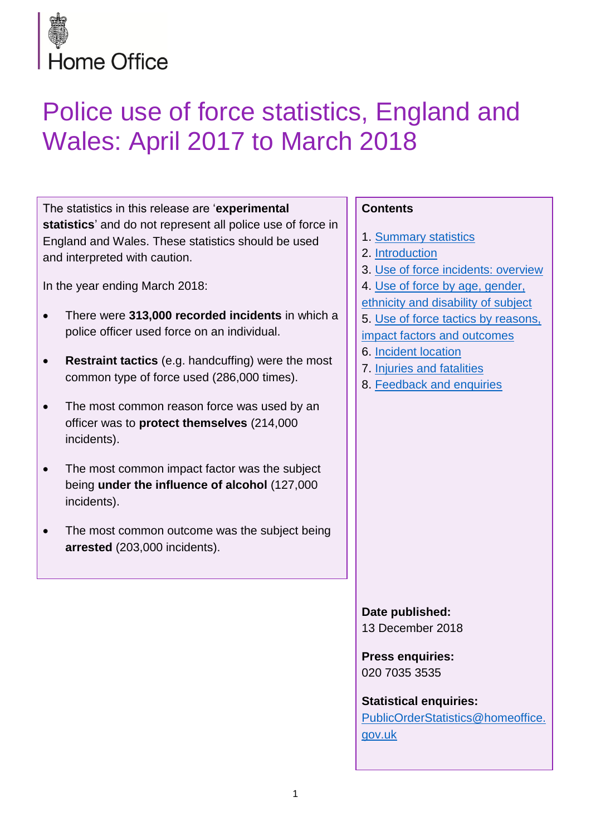

# Police use of force statistics, England and Wales: April 2017 to March 2018

The statistics in this release are '**experimental statistics**' and do not represent all police use of force in England and Wales. These statistics should be used and interpreted with caution.

In the year ending March 2018:

- There were **313,000 recorded incidents** in which a police officer used force on an individual.
- **Restraint tactics** (e.g. handcuffing) were the most common type of force used (286,000 times).
- The most common reason force was used by an officer was to **protect themselves** (214,000 incidents).
- The most common impact factor was the subject being **under the influence of alcohol** (127,000 incidents).
- The most common outcome was the subject being **arrested** (203,000 incidents).

# **Contents**

- 1. [Summary statistics](#page-1-0)
- 2. [Introduction](#page-2-0)
- 3. [Use of force incidents: overview](#page-4-0)
- 4. [Use of force by age, gender,](#page-6-0)
- [ethnicity and disability of subject](#page-6-0)
- 5. [Use of force tactics by reasons,](#page-13-0)
- [impact factors and outcomes](#page-13-0)
- 6. [Incident location](#page-24-0)
- 7. [Injuries and fatalities](#page-26-0)
- 8. [Feedback and enquiries](#page-28-0)

**Date published:** 13 December 2018

**Press enquiries:** 020 7035 3535

**Statistical enquiries:** [PublicOrderStatistics@homeoffice.](mailto:PublicOrderStatistics@homeoffice.gov.uk) [gov.uk](mailto:PublicOrderStatistics@homeoffice.gov.uk)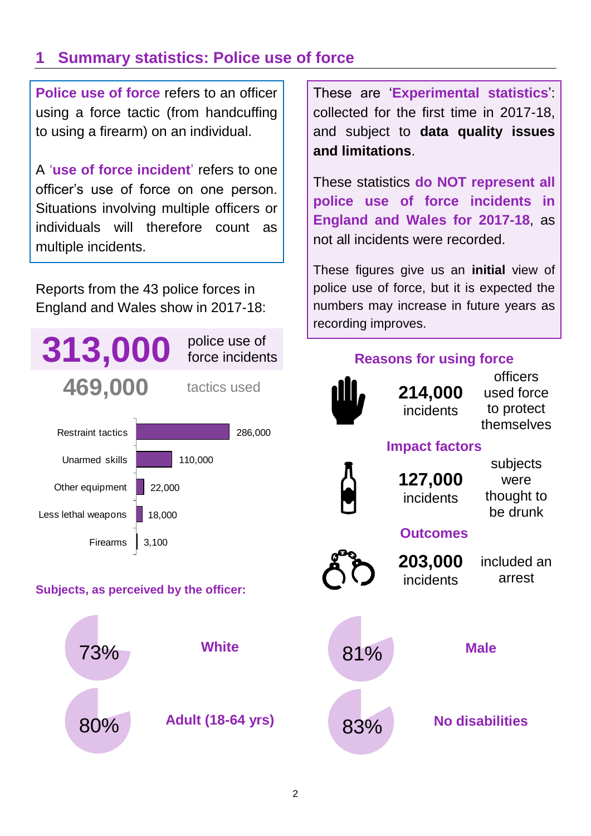# <span id="page-1-0"></span>**1 Summary statistics: Police use of force**

**Police use of force** refers to an officer using a force tactic (from handcuffing to using a firearm) on an individual.

A '**use of force incident**' refers to one officer's use of force on one person. Situations involving multiple officers or individuals will therefore count as multiple incidents.

Reports from the 43 police forces in England and Wales show in 2017-18:



# **Subjects, as perceived by the officer:**



These are '**Experimental statistics**': collected for the first time in 2017-18, and subject to **data quality issues and limitations**.

These statistics **do NOT represent all police use of force incidents in England and Wales for 2017-18**, as not all incidents were recorded.

These figures give us an **initial** view of police use of force, but it is expected the numbers may increase in future years as recording improves.

# **Reasons for using force**



**214,000** incidents

officers used force to protect themselves

# **Impact factors**



**127,000** incidents

subjects were thought to be drunk

# **Outcomes**



**203,000** incidents

included an arrest

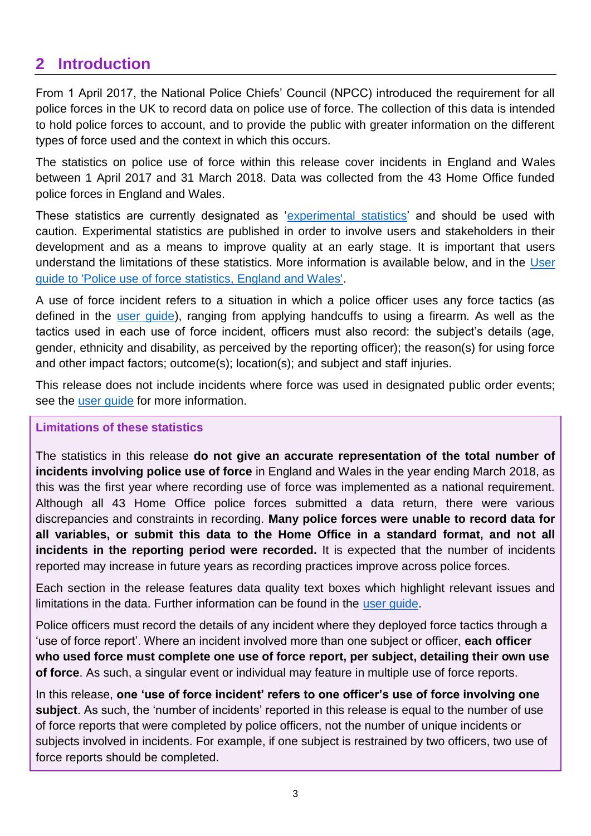# <span id="page-2-0"></span>**2 Introduction**

From 1 April 2017, the National Police Chiefs' Council (NPCC) introduced the requirement for all police forces in the UK to record data on police use of force. The collection of this data is intended to hold police forces to account, and to provide the public with greater information on the different types of force used and the context in which this occurs.

The statistics on police use of force within this release cover incidents in England and Wales between 1 April 2017 and 31 March 2018. Data was collected from the 43 Home Office funded police forces in England and Wales.

These statistics are currently designated as ['experimental statistics'](https://www.statisticsauthority.gov.uk/about-the-authority/uk-statistical-system/types-of-official-statistics/) and should be used with caution. Experimental statistics are published in order to involve users and stakeholders in their development and as a means to improve quality at an early stage. It is important that users understand the limitations of these statistics. More information is available below, and in the [User](https://www.gov.uk/government/statistics/police-use-of-force-statistics-england-and-wales-april-2017-to-march-2018)  [guide to 'Police use of force statistics, England and Wales'.](https://www.gov.uk/government/statistics/police-use-of-force-statistics-england-and-wales-april-2017-to-march-2018)

A use of force incident refers to a situation in which a police officer uses any force tactics (as defined in the [user guide\)](https://www.gov.uk/government/statistics/police-use-of-force-statistics-england-and-wales-april-2017-to-march-2018), ranging from applying handcuffs to using a firearm. As well as the tactics used in each use of force incident, officers must also record: the subject's details (age, gender, ethnicity and disability, as perceived by the reporting officer); the reason(s) for using force and other impact factors; outcome(s); location(s); and subject and staff injuries.

This release does not include incidents where force was used in designated public order events; see the [user guide](https://www.gov.uk/government/statistics/police-use-of-force-statistics-england-and-wales-april-2017-to-march-2018) for more information.

# **Limitations of these statistics**

The statistics in this release **do not give an accurate representation of the total number of incidents involving police use of force** in England and Wales in the year ending March 2018, as this was the first year where recording use of force was implemented as a national requirement. Although all 43 Home Office police forces submitted a data return, there were various discrepancies and constraints in recording. **Many police forces were unable to record data for all variables, or submit this data to the Home Office in a standard format, and not all incidents in the reporting period were recorded.** It is expected that the number of incidents reported may increase in future years as recording practices improve across police forces.

Each section in the release features data quality text boxes which highlight relevant issues and limitations in the data. Further information can be found in the [user guide.](https://www.gov.uk/government/statistics/police-use-of-force-statistics-england-and-wales-april-2017-to-march-2018)

Police officers must record the details of any incident where they deployed force tactics through a 'use of force report'. Where an incident involved more than one subject or officer, **each officer who used force must complete one use of force report, per subject, detailing their own use of force**. As such, a singular event or individual may feature in multiple use of force reports.

In this release, **one 'use of force incident' refers to one officer's use of force involving one subject**. As such, the 'number of incidents' reported in this release is equal to the number of use of force reports that were completed by police officers, not the number of unique incidents or subjects involved in incidents. For example, if one subject is restrained by two officers, two use of force reports should be completed.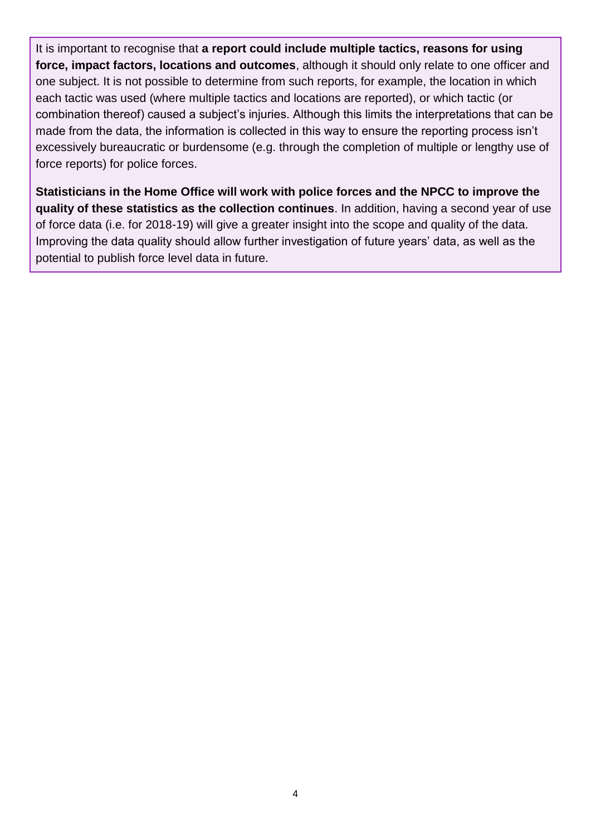It is important to recognise that **a report could include multiple tactics, reasons for using force, impact factors, locations and outcomes**, although it should only relate to one officer and one subject. It is not possible to determine from such reports, for example, the location in which each tactic was used (where multiple tactics and locations are reported), or which tactic (or combination thereof) caused a subject's injuries. Although this limits the interpretations that can be made from the data, the information is collected in this way to ensure the reporting process isn't excessively bureaucratic or burdensome (e.g. through the completion of multiple or lengthy use of force reports) for police forces.

**Statisticians in the Home Office will work with police forces and the NPCC to improve the quality of these statistics as the collection continues**. In addition, having a second year of use of force data (i.e. for 2018-19) will give a greater insight into the scope and quality of the data. Improving the data quality should allow further investigation of future years' data, as well as the potential to publish force level data in future.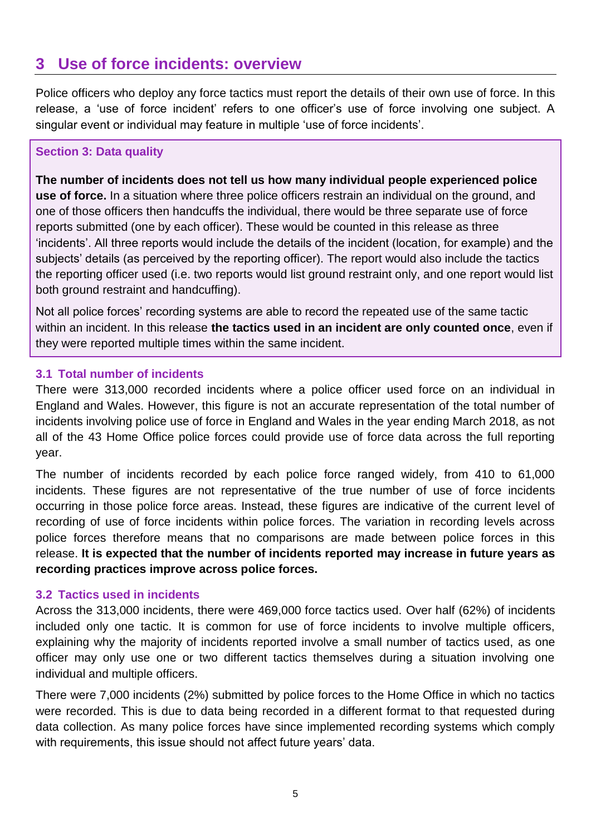# <span id="page-4-0"></span>**3 Use of force incidents: overview**

Police officers who deploy any force tactics must report the details of their own use of force. In this release, a 'use of force incident' refers to one officer's use of force involving one subject. A singular event or individual may feature in multiple 'use of force incidents'.

# **Section 3: Data quality**

**The number of incidents does not tell us how many individual people experienced police use of force.** In a situation where three police officers restrain an individual on the ground, and one of those officers then handcuffs the individual, there would be three separate use of force reports submitted (one by each officer). These would be counted in this release as three 'incidents'. All three reports would include the details of the incident (location, for example) and the subjects' details (as perceived by the reporting officer). The report would also include the tactics the reporting officer used (i.e. two reports would list ground restraint only, and one report would list both ground restraint and handcuffing).

Not all police forces' recording systems are able to record the repeated use of the same tactic within an incident. In this release **the tactics used in an incident are only counted once**, even if they were reported multiple times within the same incident.

# **3.1 Total number of incidents**

There were 313,000 recorded incidents where a police officer used force on an individual in England and Wales. However, this figure is not an accurate representation of the total number of incidents involving police use of force in England and Wales in the year ending March 2018, as not all of the 43 Home Office police forces could provide use of force data across the full reporting year.

The number of incidents recorded by each police force ranged widely, from 410 to 61,000 incidents. These figures are not representative of the true number of use of force incidents occurring in those police force areas. Instead, these figures are indicative of the current level of recording of use of force incidents within police forces. The variation in recording levels across police forces therefore means that no comparisons are made between police forces in this release. **It is expected that the number of incidents reported may increase in future years as recording practices improve across police forces.**

# **3.2 Tactics used in incidents**

Across the 313,000 incidents, there were 469,000 force tactics used. Over half (62%) of incidents included only one tactic. It is common for use of force incidents to involve multiple officers, explaining why the majority of incidents reported involve a small number of tactics used, as one officer may only use one or two different tactics themselves during a situation involving one individual and multiple officers.

There were 7,000 incidents (2%) submitted by police forces to the Home Office in which no tactics were recorded. This is due to data being recorded in a different format to that requested during data collection. As many police forces have since implemented recording systems which comply with requirements, this issue should not affect future years' data.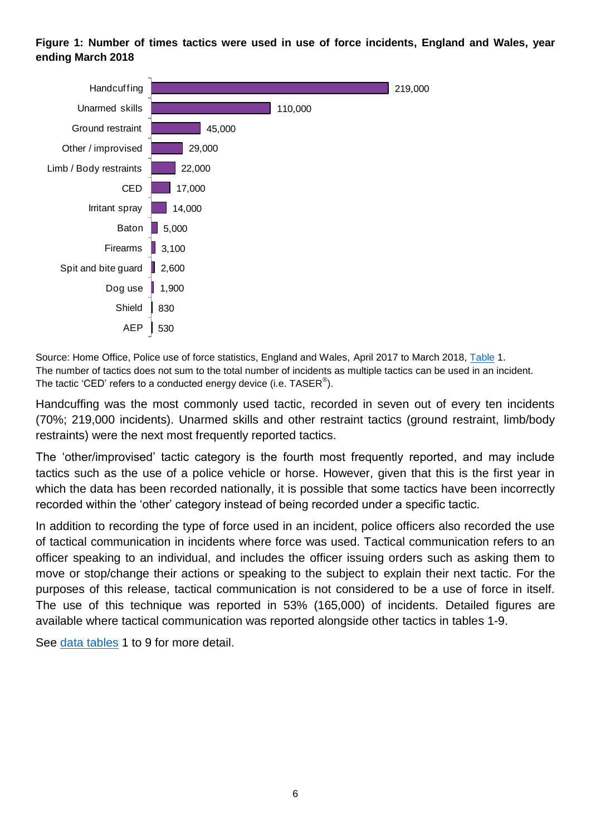### **Figure 1: Number of times tactics were used in use of force incidents, England and Wales, year ending March 2018**



Source: Home Office, Police use of force statistics, England and Wales, April 2017 to March 2018, [Table](https://www.gov.uk/government/statistics/police-use-of-force-statistics-england-and-wales-april-2017-to-march-2018) 1. The number of tactics does not sum to the total number of incidents as multiple tactics can be used in an incident. The tactic 'CED' refers to a conducted energy device (i.e. TASER $^{\circledR}$ ).

Handcuffing was the most commonly used tactic, recorded in seven out of every ten incidents (70%; 219,000 incidents). Unarmed skills and other restraint tactics (ground restraint, limb/body restraints) were the next most frequently reported tactics.

The 'other/improvised' tactic category is the fourth most frequently reported, and may include tactics such as the use of a police vehicle or horse. However, given that this is the first year in which the data has been recorded nationally, it is possible that some tactics have been incorrectly recorded within the 'other' category instead of being recorded under a specific tactic.

In addition to recording the type of force used in an incident, police officers also recorded the use of tactical communication in incidents where force was used. Tactical communication refers to an officer speaking to an individual, and includes the officer issuing orders such as asking them to move or stop/change their actions or speaking to the subject to explain their next tactic. For the purposes of this release, tactical communication is not considered to be a use of force in itself. The use of this technique was reported in 53% (165,000) of incidents. Detailed figures are available where tactical communication was reported alongside other tactics in tables 1-9.

See [data tables](https://www.gov.uk/government/statistics/police-use-of-force-statistics-england-and-wales-april-2017-to-march-2018) 1 to 9 for more detail.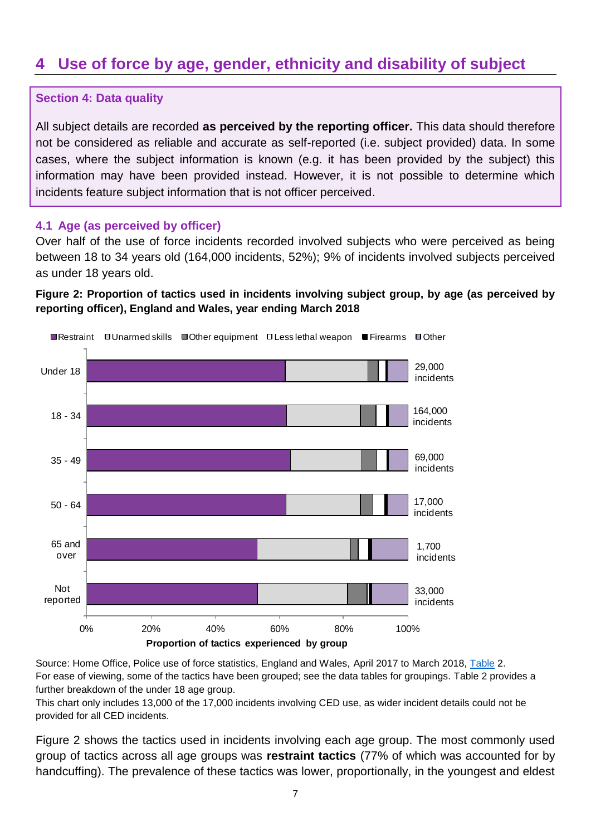# <span id="page-6-0"></span>**4 Use of force by age, gender, ethnicity and disability of subject**

# **Section 4: Data quality**

All subject details are recorded **as perceived by the reporting officer.** This data should therefore not be considered as reliable and accurate as self-reported (i.e. subject provided) data. In some cases, where the subject information is known (e.g. it has been provided by the subject) this information may have been provided instead. However, it is not possible to determine which incidents feature subject information that is not officer perceived.

### **4.1 Age (as perceived by officer)**

Over half of the use of force incidents recorded involved subjects who were perceived as being between 18 to 34 years old (164,000 incidents, 52%); 9% of incidents involved subjects perceived as under 18 years old.

# **Figure 2: Proportion of tactics used in incidents involving subject group, by age (as perceived by reporting officer), England and Wales, year ending March 2018**



Source: Home Office, Police use of force statistics, England and Wales, April 2017 to March 2018, [Table](https://www.gov.uk/government/statistics/police-use-of-force-statistics-england-and-wales-april-2017-to-march-2018) 2. For ease of viewing, some of the tactics have been grouped; see the data tables for groupings. Table 2 provides a further breakdown of the under 18 age group.

This chart only includes 13,000 of the 17,000 incidents involving CED use, as wider incident details could not be provided for all CED incidents.

Figure 2 shows the tactics used in incidents involving each age group. The most commonly used group of tactics across all age groups was **restraint tactics** (77% of which was accounted for by handcuffing). The prevalence of these tactics was lower, proportionally, in the youngest and eldest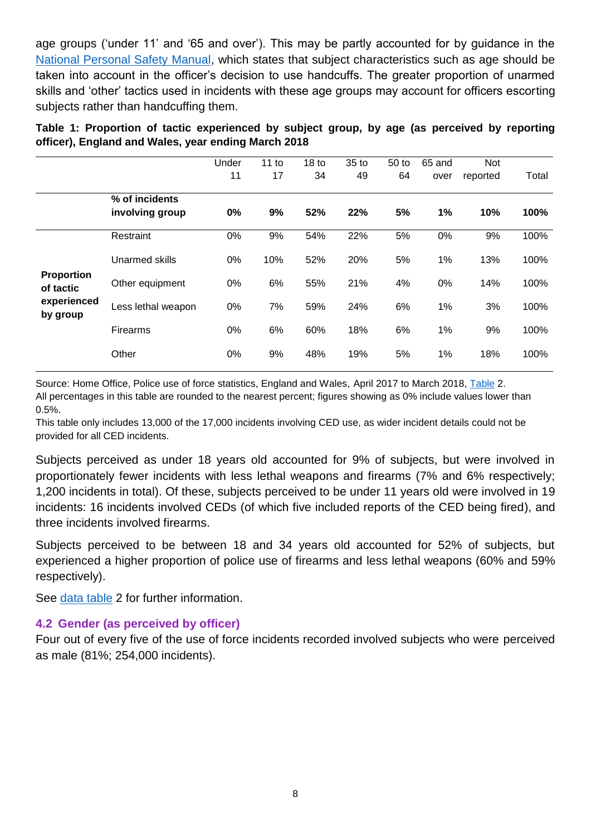age groups ('under 11' and '65 and over'). This may be partly accounted for by guidance in the [National Personal Safety Manual,](http://www.college.police.uk/What-we-do/Learning/Professional-Training/Personal-safety/Pages/Personal-Safety-Training.aspx) which states that subject characteristics such as age should be taken into account in the officer's decision to use handcuffs. The greater proportion of unarmed skills and 'other' tactics used in incidents with these age groups may account for officers escorting subjects rather than handcuffing them.

**Table 1: Proportion of tactic experienced by subject group, by age (as perceived by reporting officer), England and Wales, year ending March 2018**

|                                                           |                    | Under | 11 to | 18 <sub>to</sub> | $35$ to | 50 to | 65 and | Not      |       |
|-----------------------------------------------------------|--------------------|-------|-------|------------------|---------|-------|--------|----------|-------|
|                                                           |                    | 11    | 17    | 34               | 49      | 64    | over   | reported | Total |
|                                                           | % of incidents     |       |       |                  |         |       |        |          |       |
|                                                           | involving group    | 0%    | 9%    | 52%              | 22%     | 5%    | 1%     | 10%      | 100%  |
| <b>Proportion</b><br>of tactic<br>experienced<br>by group | Restraint          | 0%    | 9%    | 54%              | 22%     | 5%    | 0%     | 9%       | 100%  |
|                                                           | Unarmed skills     | 0%    | 10%   | 52%              | 20%     | 5%    | 1%     | 13%      | 100%  |
|                                                           | Other equipment    | 0%    | 6%    | 55%              | 21%     | 4%    | 0%     | 14%      | 100%  |
|                                                           | Less lethal weapon | 0%    | 7%    | 59%              | 24%     | 6%    | 1%     | 3%       | 100%  |
|                                                           | <b>Firearms</b>    | 0%    | 6%    | 60%              | 18%     | 6%    | 1%     | 9%       | 100%  |
|                                                           | Other              | 0%    | 9%    | 48%              | 19%     | 5%    | 1%     | 18%      | 100%  |
|                                                           |                    |       |       |                  |         |       |        |          |       |

Source: Home Office, Police use of force statistics, England and Wales, April 2017 to March 2018, [Table](https://www.gov.uk/government/statistics/police-use-of-force-statistics-england-and-wales-april-2017-to-march-2018) 2. All percentages in this table are rounded to the nearest percent; figures showing as 0% include values lower than 0.5%.

This table only includes 13,000 of the 17,000 incidents involving CED use, as wider incident details could not be provided for all CED incidents.

Subjects perceived as under 18 years old accounted for 9% of subjects, but were involved in proportionately fewer incidents with less lethal weapons and firearms (7% and 6% respectively; 1,200 incidents in total). Of these, subjects perceived to be under 11 years old were involved in 19 incidents: 16 incidents involved CEDs (of which five included reports of the CED being fired), and three incidents involved firearms.

Subjects perceived to be between 18 and 34 years old accounted for 52% of subjects, but experienced a higher proportion of police use of firearms and less lethal weapons (60% and 59% respectively).

See [data table](https://www.gov.uk/government/statistics/police-use-of-force-statistics-england-and-wales-april-2017-to-march-2018) 2 for further information.

# **4.2 Gender (as perceived by officer)**

Four out of every five of the use of force incidents recorded involved subjects who were perceived as male (81%; 254,000 incidents).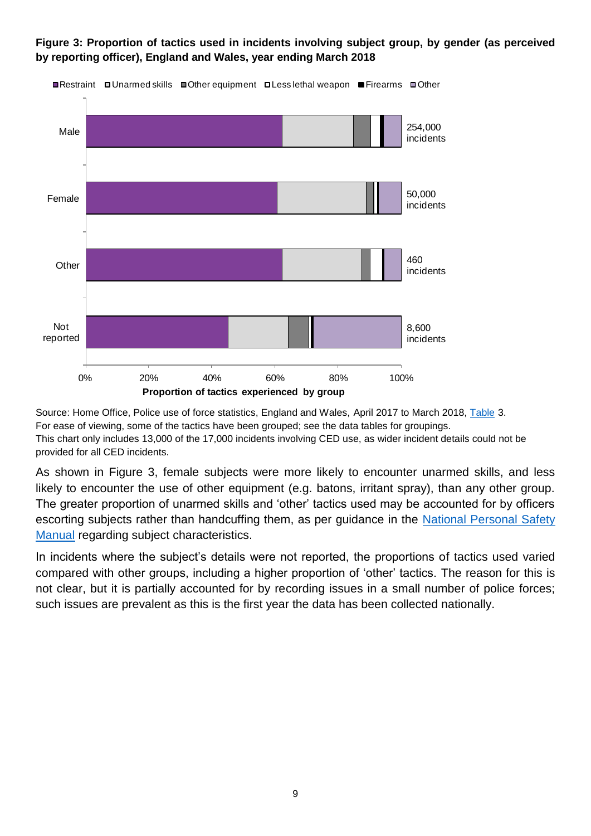

**Figure 3: Proportion of tactics used in incidents involving subject group, by gender (as perceived by reporting officer), England and Wales, year ending March 2018**

Source: Home Office, Police use of force statistics, England and Wales, April 2017 to March 2018, [Table](https://www.gov.uk/government/statistics/police-use-of-force-statistics-england-and-wales-april-2017-to-march-2018) 3. For ease of viewing, some of the tactics have been grouped; see the data tables for groupings. This chart only includes 13,000 of the 17,000 incidents involving CED use, as wider incident details could not be provided for all CED incidents.

As shown in Figure 3, female subjects were more likely to encounter unarmed skills, and less likely to encounter the use of other equipment (e.g. batons, irritant spray), than any other group. The greater proportion of unarmed skills and 'other' tactics used may be accounted for by officers escorting subjects rather than handcuffing them, as per guidance in the [National Personal Safety](http://www.college.police.uk/What-we-do/Learning/Professional-Training/Personal-safety/Pages/Personal-Safety-Training.aspx)  [Manual](http://www.college.police.uk/What-we-do/Learning/Professional-Training/Personal-safety/Pages/Personal-Safety-Training.aspx) regarding subject characteristics.

In incidents where the subject's details were not reported, the proportions of tactics used varied compared with other groups, including a higher proportion of 'other' tactics. The reason for this is not clear, but it is partially accounted for by recording issues in a small number of police forces; such issues are prevalent as this is the first year the data has been collected nationally.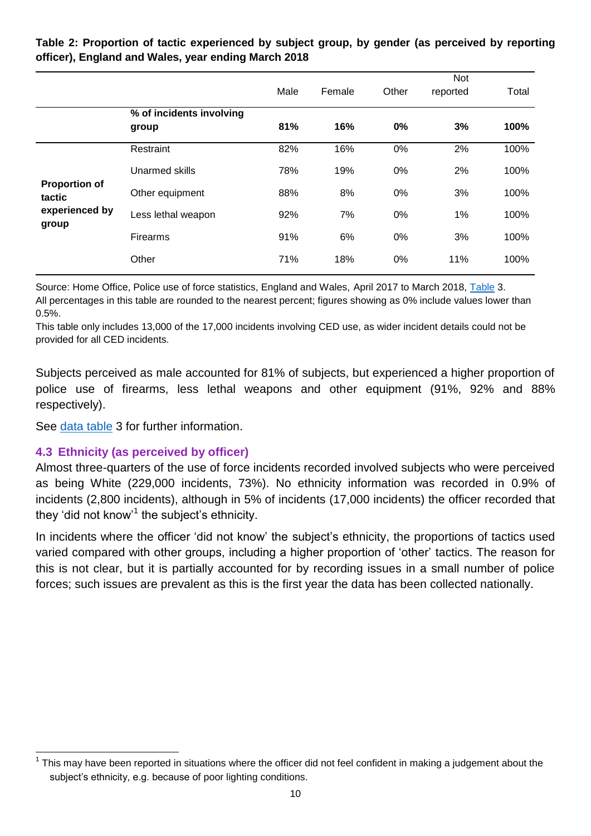|                                |                                   | Male | Female | Other | <b>Not</b><br>reported | Total |
|--------------------------------|-----------------------------------|------|--------|-------|------------------------|-------|
|                                | % of incidents involving<br>group | 81%  | 16%    | 0%    | 3%                     | 100%  |
|                                | Restraint                         | 82%  | 16%    | 0%    | 2%                     | 100%  |
|                                | Unarmed skills                    | 78%  | 19%    | 0%    | 2%                     | 100%  |
| <b>Proportion of</b><br>tactic | Other equipment                   | 88%  | 8%     | 0%    | 3%                     | 100%  |
| experienced by<br>group        | Less lethal weapon                | 92%  | 7%     | 0%    | 1%                     | 100%  |
|                                | <b>Firearms</b>                   | 91%  | 6%     | 0%    | 3%                     | 100%  |
|                                | Other                             | 71%  | 18%    | 0%    | 11%                    | 100%  |

**Table 2: Proportion of tactic experienced by subject group, by gender (as perceived by reporting officer), England and Wales, year ending March 2018**

Source: Home Office, Police use of force statistics, England and Wales, April 2017 to March 2018, [Table](https://www.gov.uk/government/statistics/police-use-of-force-statistics-england-and-wales-april-2017-to-march-2018) 3. All percentages in this table are rounded to the nearest percent; figures showing as 0% include values lower than 0.5%.

This table only includes 13,000 of the 17,000 incidents involving CED use, as wider incident details could not be provided for all CED incidents.

Subjects perceived as male accounted for 81% of subjects, but experienced a higher proportion of police use of firearms, less lethal weapons and other equipment (91%, 92% and 88% respectively).

See [data table](https://www.gov.uk/government/statistics/police-use-of-force-statistics-england-and-wales-april-2017-to-march-2018) 3 for further information.

# **4.3 Ethnicity (as perceived by officer)**

Almost three-quarters of the use of force incidents recorded involved subjects who were perceived as being White (229,000 incidents, 73%). No ethnicity information was recorded in 0.9% of incidents (2,800 incidents), although in 5% of incidents (17,000 incidents) the officer recorded that they 'did not know'<sup>1</sup> the subject's ethnicity.

In incidents where the officer 'did not know' the subject's ethnicity, the proportions of tactics used varied compared with other groups, including a higher proportion of 'other' tactics. The reason for this is not clear, but it is partially accounted for by recording issues in a small number of police forces; such issues are prevalent as this is the first year the data has been collected nationally.

 1 This may have been reported in situations where the officer did not feel confident in making a judgement about the subject's ethnicity, e.g. because of poor lighting conditions.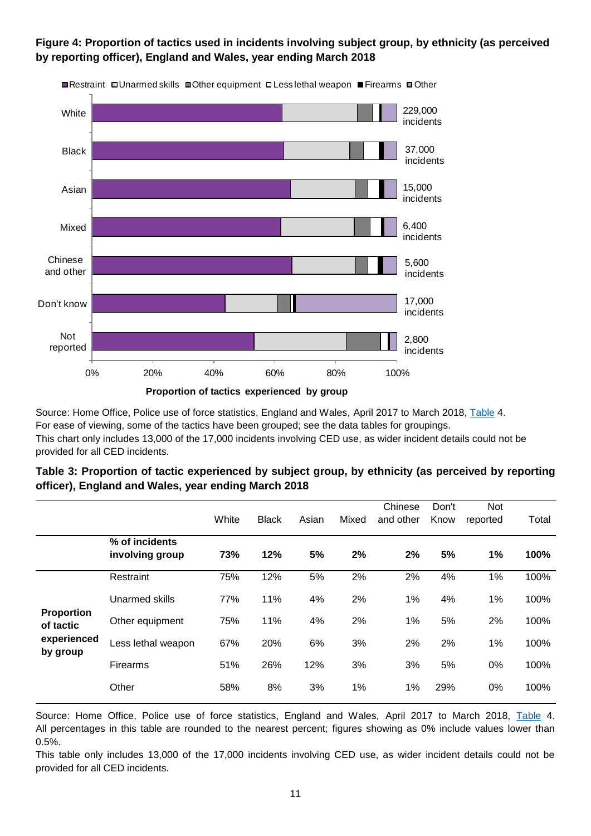### **Figure 4: Proportion of tactics used in incidents involving subject group, by ethnicity (as perceived by reporting officer), England and Wales, year ending March 2018**



■Restraint □Unarmed skills ■Other equipment □Less lethal weapon ■Firearms ■Other

Source: Home Office, Police use of force statistics, England and Wales, April 2017 to March 2018, [Table](https://www.gov.uk/government/statistics/police-use-of-force-statistics-england-and-wales-april-2017-to-march-2018) 4. For ease of viewing, some of the tactics have been grouped; see the data tables for groupings. This chart only includes 13,000 of the 17,000 incidents involving CED use, as wider incident details could not be provided for all CED incidents.

#### **Table 3: Proportion of tactic experienced by subject group, by ethnicity (as perceived by reporting officer), England and Wales, year ending March 2018**

|                                                           |                                   | White | <b>Black</b> | Asian | Mixed | Chinese<br>and other | Don't<br>Know | Not<br>reported | Total |
|-----------------------------------------------------------|-----------------------------------|-------|--------------|-------|-------|----------------------|---------------|-----------------|-------|
|                                                           | % of incidents<br>involving group | 73%   | 12%          | 5%    | 2%    | 2%                   | 5%            | 1%              | 100%  |
| <b>Proportion</b><br>of tactic<br>experienced<br>by group | Restraint                         | 75%   | 12%          | 5%    | 2%    | 2%                   | 4%            | 1%              | 100%  |
|                                                           | Unarmed skills                    | 77%   | 11%          | 4%    | 2%    | 1%                   | 4%            | 1%              | 100%  |
|                                                           | Other equipment                   | 75%   | 11%          | 4%    | 2%    | 1%                   | 5%            | 2%              | 100%  |
|                                                           | Less lethal weapon                | 67%   | 20%          | 6%    | 3%    | 2%                   | 2%            | 1%              | 100%  |
|                                                           | Firearms                          | 51%   | 26%          | 12%   | 3%    | 3%                   | 5%            | $0\%$           | 100%  |
|                                                           | Other                             | 58%   | 8%           | 3%    | 1%    | 1%                   | 29%           | 0%              | 100%  |

Source: Home Office, Police use of force statistics, England and Wales, April 2017 to March 2018, [Table](https://www.gov.uk/government/statistics/police-use-of-force-statistics-england-and-wales-april-2017-to-march-2018) 4. All percentages in this table are rounded to the nearest percent; figures showing as 0% include values lower than 0.5%.

This table only includes 13,000 of the 17,000 incidents involving CED use, as wider incident details could not be provided for all CED incidents.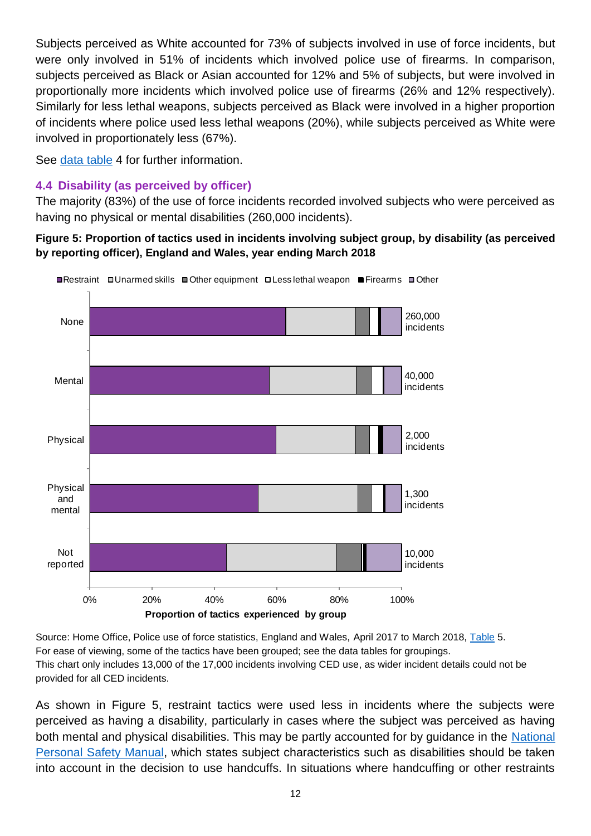Subjects perceived as White accounted for 73% of subjects involved in use of force incidents, but were only involved in 51% of incidents which involved police use of firearms. In comparison, subjects perceived as Black or Asian accounted for 12% and 5% of subjects, but were involved in proportionally more incidents which involved police use of firearms (26% and 12% respectively). Similarly for less lethal weapons, subjects perceived as Black were involved in a higher proportion of incidents where police used less lethal weapons (20%), while subjects perceived as White were involved in proportionately less (67%).

See [data table](https://www.gov.uk/government/statistics/police-use-of-force-statistics-england-and-wales-april-2017-to-march-2018) 4 for further information.

# **4.4 Disability (as perceived by officer)**

The majority (83%) of the use of force incidents recorded involved subjects who were perceived as having no physical or mental disabilities (260,000 incidents).

# **Figure 5: Proportion of tactics used in incidents involving subject group, by disability (as perceived by reporting officer), England and Wales, year ending March 2018**



Source: Home Office, Police use of force statistics, England and Wales, April 2017 to March 2018, [Table](https://www.gov.uk/government/statistics/police-use-of-force-statistics-england-and-wales-april-2017-to-march-2018) 5. For ease of viewing, some of the tactics have been grouped; see the data tables for groupings. This chart only includes 13,000 of the 17,000 incidents involving CED use, as wider incident details could not be provided for all CED incidents.

As shown in Figure 5, restraint tactics were used less in incidents where the subjects were perceived as having a disability, particularly in cases where the subject was perceived as having both mental and physical disabilities. This may be partly accounted for by guidance in the [National](http://www.college.police.uk/What-we-do/Learning/Professional-Training/Personal-safety/Pages/Personal-Safety-Training.aspx)  [Personal Safety Manual,](http://www.college.police.uk/What-we-do/Learning/Professional-Training/Personal-safety/Pages/Personal-Safety-Training.aspx) which states subject characteristics such as disabilities should be taken into account in the decision to use handcuffs. In situations where handcuffing or other restraints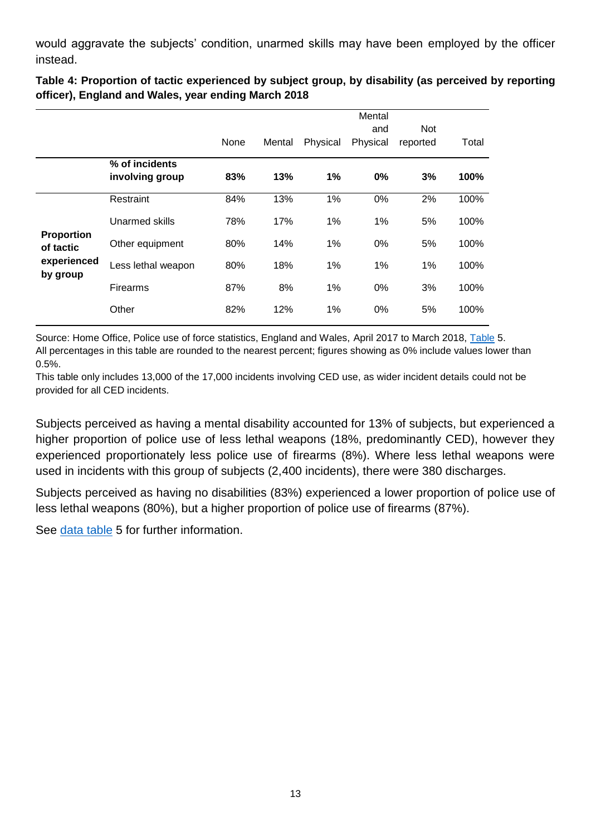would aggravate the subjects' condition, unarmed skills may have been employed by the officer instead.

**Table 4: Proportion of tactic experienced by subject group, by disability (as perceived by reporting officer), England and Wales, year ending March 2018**

|                                                           |                    |      |        |          | Mental   |          |       |
|-----------------------------------------------------------|--------------------|------|--------|----------|----------|----------|-------|
|                                                           |                    |      |        |          | and      | Not      |       |
|                                                           |                    | None | Mental | Physical | Physical | reported | Total |
|                                                           | % of incidents     |      |        |          |          |          |       |
|                                                           | involving group    | 83%  | 13%    | 1%       | 0%       | 3%       | 100%  |
| <b>Proportion</b><br>of tactic<br>experienced<br>by group | Restraint          | 84%  | 13%    | 1%       | 0%       | 2%       | 100%  |
|                                                           | Unarmed skills     | 78%  | 17%    | 1%       | 1%       | 5%       | 100%  |
|                                                           | Other equipment    | 80%  | 14%    | 1%       | $0\%$    | 5%       | 100%  |
|                                                           | Less lethal weapon | 80%  | 18%    | 1%       | 1%       | 1%       | 100%  |
|                                                           | <b>Firearms</b>    | 87%  | 8%     | $1\%$    | 0%       | 3%       | 100%  |
|                                                           | Other              | 82%  | 12%    | $1\%$    | 0%       | 5%       | 100%  |

Source: Home Office, Police use of force statistics, England and Wales, April 2017 to March 2018, [Table](https://www.gov.uk/government/statistics/police-use-of-force-statistics-england-and-wales-april-2017-to-march-2018) 5. All percentages in this table are rounded to the nearest percent; figures showing as 0% include values lower than 0.5%.

This table only includes 13,000 of the 17,000 incidents involving CED use, as wider incident details could not be provided for all CED incidents.

Subjects perceived as having a mental disability accounted for 13% of subjects, but experienced a higher proportion of police use of less lethal weapons (18%, predominantly CED), however they experienced proportionately less police use of firearms (8%). Where less lethal weapons were used in incidents with this group of subjects (2,400 incidents), there were 380 discharges.

Subjects perceived as having no disabilities (83%) experienced a lower proportion of police use of less lethal weapons (80%), but a higher proportion of police use of firearms (87%).

See [data table](https://www.gov.uk/government/statistics/police-use-of-force-statistics-england-and-wales-april-2017-to-march-2018) 5 for further information.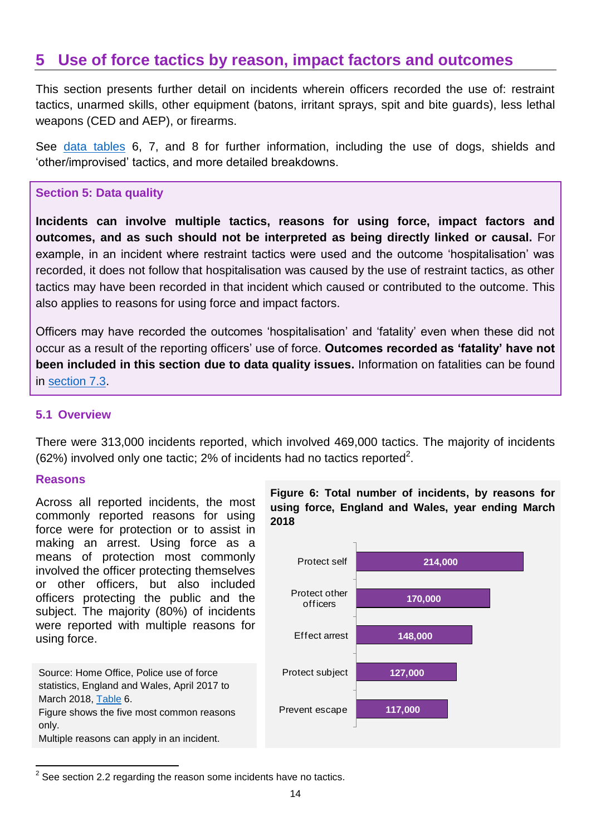# <span id="page-13-0"></span>**5 Use of force tactics by reason, impact factors and outcomes**

This section presents further detail on incidents wherein officers recorded the use of: restraint tactics, unarmed skills, other equipment (batons, irritant sprays, spit and bite guards), less lethal weapons (CED and AEP), or firearms.

See [data tables](https://www.gov.uk/government/statistics/police-use-of-force-statistics-england-and-wales-april-2017-to-march-2018) 6, 7, and 8 for further information, including the use of dogs, shields and 'other/improvised' tactics, and more detailed breakdowns.

#### **Section 5: Data quality**

**Incidents can involve multiple tactics, reasons for using force, impact factors and outcomes, and as such should not be interpreted as being directly linked or causal.** For example, in an incident where restraint tactics were used and the outcome 'hospitalisation' was recorded, it does not follow that hospitalisation was caused by the use of restraint tactics, as other tactics may have been recorded in that incident which caused or contributed to the outcome. This also applies to reasons for using force and impact factors.

Officers may have recorded the outcomes 'hospitalisation' and 'fatality' even when these did not occur as a result of the reporting officers' use of force. **Outcomes recorded as 'fatality' have not been included in this section due to data quality issues.** Information on fatalities can be found in [section 7.3.](#page-27-0)

#### **5.1 Overview**

There were 313,000 incidents reported, which involved 469,000 tactics. The majority of incidents  $(62%)$  involved only one tactic; 2% of incidents had no tactics reported<sup>2</sup>.

#### **Reasons**

Across all reported incidents, the most commonly reported reasons for using force were for protection or to assist in making an arrest. Using force as a means of protection most commonly involved the officer protecting themselves or other officers, but also included officers protecting the public and the subject. The majority (80%) of incidents were reported with multiple reasons for using force.

Source: Home Office, Police use of force statistics, England and Wales, April 2017 to March 2018, [Table](https://www.gov.uk/government/statistics/police-use-of-force-statistics-england-and-wales-april-2017-to-march-2018) 6. Figure shows the five most common reasons only. Multiple reasons can apply in an incident.





<sup>1</sup>  $2$  See section 2.2 regarding the reason some incidents have no tactics.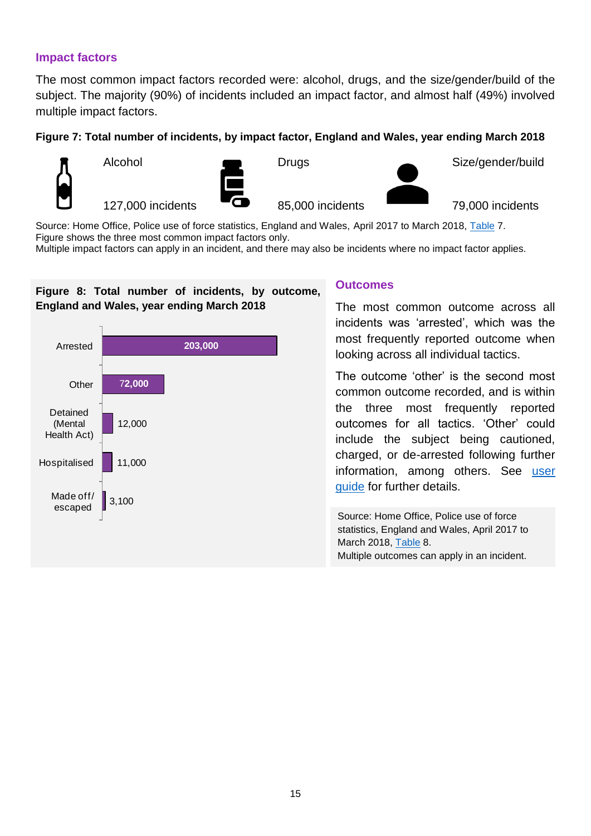#### **Impact factors**

The most common impact factors recorded were: alcohol, drugs, and the size/gender/build of the subject. The majority (90%) of incidents included an impact factor, and almost half (49%) involved multiple impact factors.

#### **Figure 7: Total number of incidents, by impact factor, England and Wales, year ending March 2018**



Alcohol

127,000 incidents



**Drugs** 

85,000 incidents

Size/gender/build

79,000 incidents

Source: Home Office, Police use of force statistics, England and Wales, April 2017 to March 2018, [Table](https://www.gov.uk/government/statistics/police-use-of-force-statistics-england-and-wales-april-2017-to-march-2018) 7. Figure shows the three most common impact factors only.

Multiple impact factors can apply in an incident, and there may also be incidents where no impact factor applies.

# **Figure 8: Total number of incidents, by outcome, England and Wales, year ending March 2018**



#### **Outcomes**

The most common outcome across all incidents was 'arrested', which was the most frequently reported outcome when looking across all individual tactics.

The outcome 'other' is the second most common outcome recorded, and is within the three most frequently reported outcomes for all tactics. 'Other' could include the subject being cautioned, charged, or de-arrested following further information, among others. See [user](https://www.gov.uk/government/statistics/police-use-of-force-statistics-england-and-wales-april-2017-to-march-2018)  [guide](https://www.gov.uk/government/statistics/police-use-of-force-statistics-england-and-wales-april-2017-to-march-2018) for further details.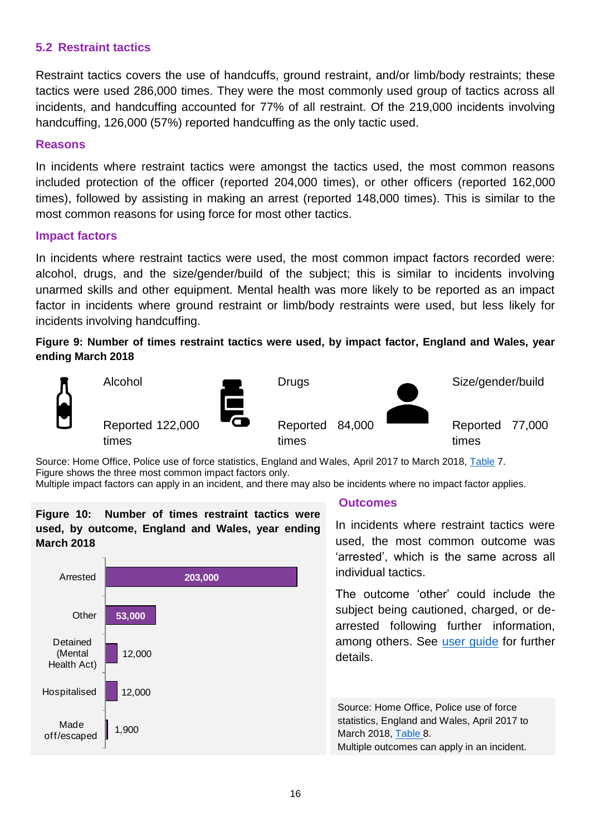# **5.2 Restraint tactics**

Restraint tactics covers the use of handcuffs, ground restraint, and/or limb/body restraints; these tactics were used 286,000 times. They were the most commonly used group of tactics across all incidents, and handcuffing accounted for 77% of all restraint. Of the 219,000 incidents involving handcuffing, 126,000 (57%) reported handcuffing as the only tactic used.

#### **Reasons**

In incidents where restraint tactics were amongst the tactics used, the most common reasons included protection of the officer (reported 204,000 times), or other officers (reported 162,000 times), followed by assisting in making an arrest (reported 148,000 times). This is similar to the most common reasons for using force for most other tactics.

#### **Impact factors**

In incidents where restraint tactics were used, the most common impact factors recorded were: alcohol, drugs, and the size/gender/build of the subject; this is similar to incidents involving unarmed skills and other equipment. Mental health was more likely to be reported as an impact factor in incidents where ground restraint or limb/body restraints were used, but less likely for incidents involving handcuffing.

#### **Figure 9: Number of times restraint tactics were used, by impact factor, England and Wales, year ending March 2018**



Source: Home Office, Police use of force statistics, England and Wales, April 2017 to March 2018, [Table](https://www.gov.uk/government/statistics/police-use-of-force-statistics-england-and-wales-april-2017-to-march-2018) 7. Figure shows the three most common impact factors only.

Multiple impact factors can apply in an incident, and there may also be incidents where no impact factor applies.

# **Figure 10: Number of times restraint tactics were used, by outcome, England and Wales, year ending March 2018**



#### **Outcomes**

In incidents where restraint tactics were used, the most common outcome was 'arrested', which is the same across all individual tactics.

The outcome 'other' could include the subject being cautioned, charged, or dearrested following further information, among others. See [user guide](https://www.gov.uk/government/statistics/police-use-of-force-statistics-england-and-wales-april-2017-to-march-2018) for further details.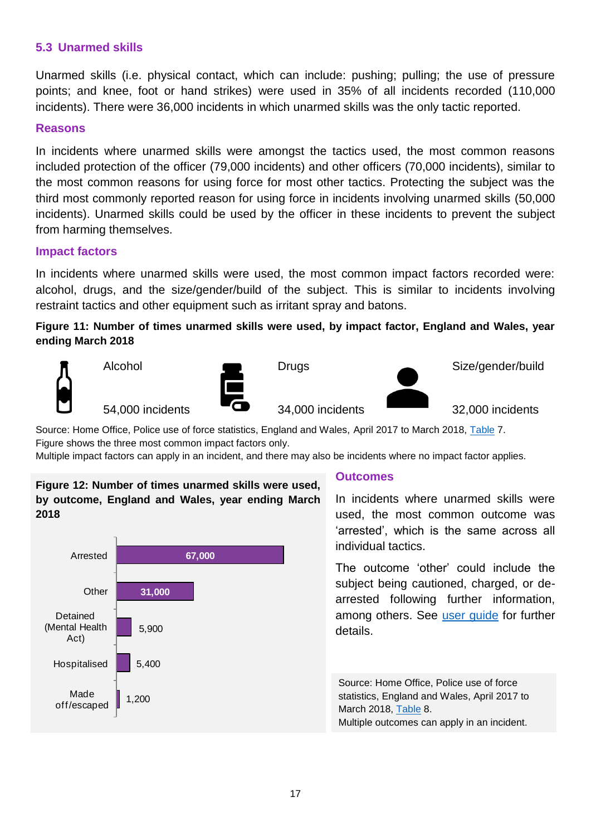# **5.3 Unarmed skills**

Unarmed skills (i.e. physical contact, which can include: pushing; pulling; the use of pressure points; and knee, foot or hand strikes) were used in 35% of all incidents recorded (110,000 incidents). There were 36,000 incidents in which unarmed skills was the only tactic reported.

# **Reasons**

In incidents where unarmed skills were amongst the tactics used, the most common reasons included protection of the officer (79,000 incidents) and other officers (70,000 incidents), similar to the most common reasons for using force for most other tactics. Protecting the subject was the third most commonly reported reason for using force in incidents involving unarmed skills (50,000 incidents). Unarmed skills could be used by the officer in these incidents to prevent the subject from harming themselves.

### **Impact factors**

In incidents where unarmed skills were used, the most common impact factors recorded were: alcohol, drugs, and the size/gender/build of the subject. This is similar to incidents involving restraint tactics and other equipment such as irritant spray and batons.

**Figure 11: Number of times unarmed skills were used, by impact factor, England and Wales, year ending March 2018**

**Drugs** 



Alcohol





Size/gender/build

32,000 incidents

54,000 incidents

Source: Home Office, Police use of force statistics, England and Wales, April 2017 to March 2018, [Table](https://www.gov.uk/government/statistics/police-use-of-force-statistics-england-and-wales-april-2017-to-march-2018) 7.

34,000 incidents

Figure shows the three most common impact factors only.

Multiple impact factors can apply in an incident, and there may also be incidents where no impact factor applies.

# **Figure 12: Number of times unarmed skills were used, by outcome, England and Wales, year ending March 2018**



### **Outcomes**

In incidents where unarmed skills were used, the most common outcome was 'arrested', which is the same across all individual tactics.

The outcome 'other' could include the subject being cautioned, charged, or dearrested following further information, among others. See [user guide](https://www.gov.uk/government/statistics/police-use-of-force-statistics-england-and-wales-april-2017-to-march-2018) for further details.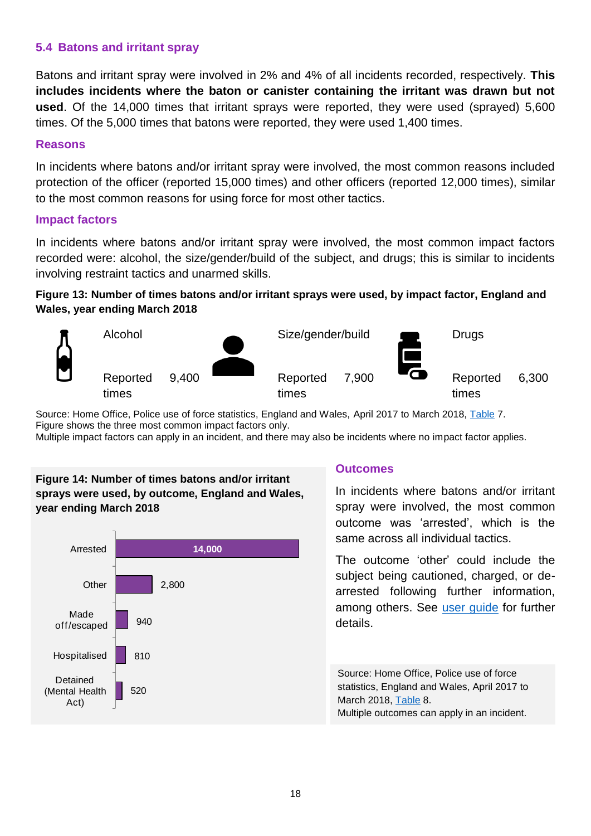# **5.4 Batons and irritant spray**

Batons and irritant spray were involved in 2% and 4% of all incidents recorded, respectively. **This includes incidents where the baton or canister containing the irritant was drawn but not used**. Of the 14,000 times that irritant sprays were reported, they were used (sprayed) 5,600 times. Of the 5,000 times that batons were reported, they were used 1,400 times.

#### **Reasons**

In incidents where batons and/or irritant spray were involved, the most common reasons included protection of the officer (reported 15,000 times) and other officers (reported 12,000 times), similar to the most common reasons for using force for most other tactics.

#### **Impact factors**

In incidents where batons and/or irritant spray were involved, the most common impact factors recorded were: alcohol, the size/gender/build of the subject, and drugs; this is similar to incidents involving restraint tactics and unarmed skills.

# **Figure 13: Number of times batons and/or irritant sprays were used, by impact factor, England and Wales, year ending March 2018**



Source: Home Office, Police use of force statistics, England and Wales, April 2017 to March 2018, [Table](https://www.gov.uk/government/statistics/police-use-of-force-statistics-england-and-wales-april-2017-to-march-2018) 7. Figure shows the three most common impact factors only.

Multiple impact factors can apply in an incident, and there may also be incidents where no impact factor applies.

# **Figure 14: Number of times batons and/or irritant sprays were used, by outcome, England and Wales, year ending March 2018**



# **Outcomes**

In incidents where batons and/or irritant spray were involved, the most common outcome was 'arrested', which is the same across all individual tactics.

The outcome 'other' could include the subject being cautioned, charged, or dearrested following further information, among others. See [user guide](https://www.gov.uk/government/statistics/police-use-of-force-statistics-england-and-wales-april-2017-to-march-2018) for further details.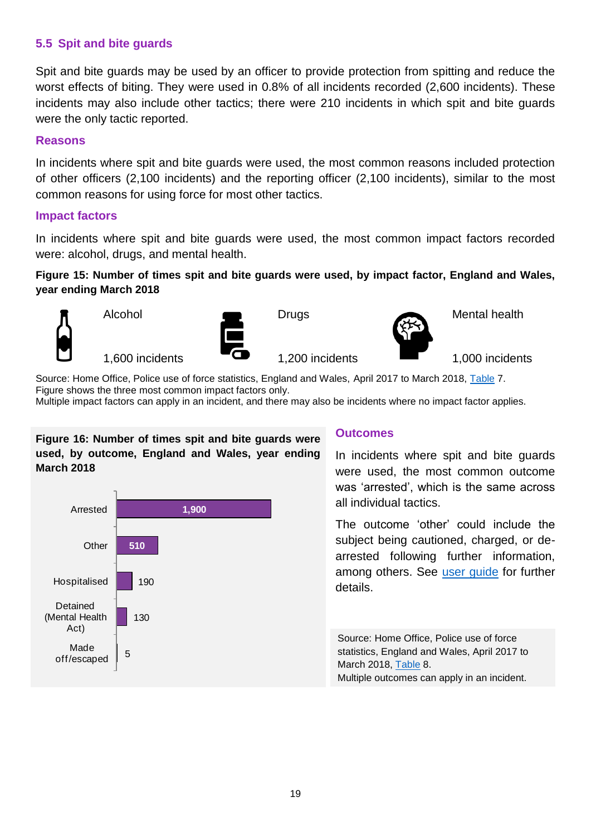# **5.5 Spit and bite guards**

Spit and bite guards may be used by an officer to provide protection from spitting and reduce the worst effects of biting. They were used in 0.8% of all incidents recorded (2,600 incidents). These incidents may also include other tactics; there were 210 incidents in which spit and bite guards were the only tactic reported.

#### **Reasons**

In incidents where spit and bite guards were used, the most common reasons included protection of other officers (2,100 incidents) and the reporting officer (2,100 incidents), similar to the most common reasons for using force for most other tactics.

#### **Impact factors**

In incidents where spit and bite guards were used, the most common impact factors recorded were: alcohol, drugs, and mental health.

### **Figure 15: Number of times spit and bite guards were used, by impact factor, England and Wales, year ending March 2018**

Drugs



Alcohol



1,200 incidents



Mental health

1,600 incidents

1,000 incidents

Source: Home Office, Police use of force statistics, England and Wales, April 2017 to March 2018, [Table](https://www.gov.uk/government/statistics/police-use-of-force-statistics-england-and-wales-april-2017-to-march-2018) 7. Figure shows the three most common impact factors only.

Multiple impact factors can apply in an incident, and there may also be incidents where no impact factor applies.

**Figure 16: Number of times spit and bite guards were used, by outcome, England and Wales, year ending March 2018** 



# **Outcomes**

In incidents where spit and bite guards were used, the most common outcome was 'arrested', which is the same across all individual tactics.

The outcome 'other' could include the subject being cautioned, charged, or dearrested following further information, among others. See [user guide](https://www.gov.uk/government/statistics/police-use-of-force-statistics-england-and-wales-april-2017-to-march-2018) for further details.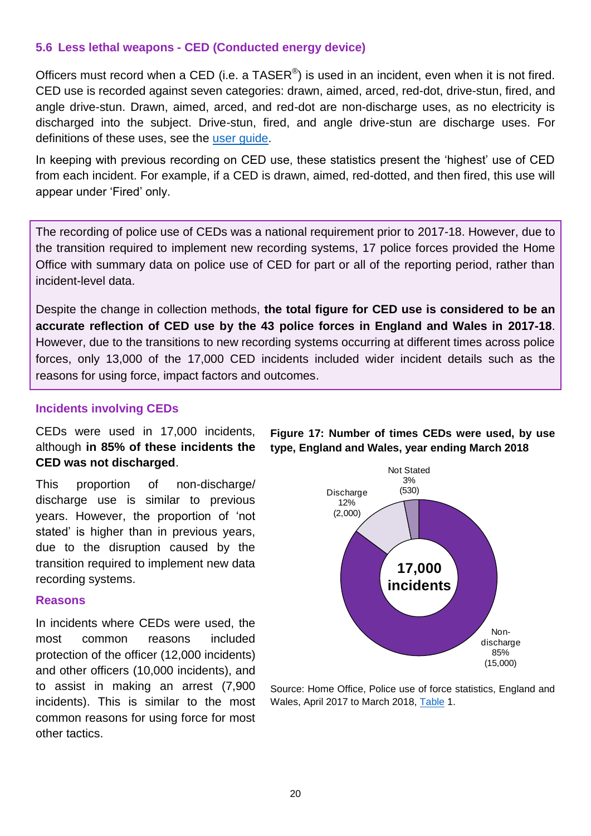# **5.6 Less lethal weapons - CED (Conducted energy device)**

Officers must record when a CED (i.e. a TASER<sup>®</sup>) is used in an incident, even when it is not fired. CED use is recorded against seven categories: drawn, aimed, arced, red-dot, drive-stun, fired, and angle drive-stun. Drawn, aimed, arced, and red-dot are non-discharge uses, as no electricity is discharged into the subject. Drive-stun, fired, and angle drive-stun are discharge uses. For definitions of these uses, see the [user guide.](https://www.gov.uk/government/statistics/police-use-of-force-statistics-england-and-wales-april-2017-to-march-2018)

In keeping with previous recording on CED use, these statistics present the 'highest' use of CED from each incident. For example, if a CED is drawn, aimed, red-dotted, and then fired, this use will appear under 'Fired' only.

The recording of police use of CEDs was a national requirement prior to 2017-18. However, due to the transition required to implement new recording systems, 17 police forces provided the Home Office with summary data on police use of CED for part or all of the reporting period, rather than incident-level data.

Despite the change in collection methods, **the total figure for CED use is considered to be an accurate reflection of CED use by the 43 police forces in England and Wales in 2017-18**. However, due to the transitions to new recording systems occurring at different times across police forces, only 13,000 of the 17,000 CED incidents included wider incident details such as the reasons for using force, impact factors and outcomes.

### **Incidents involving CEDs**

CEDs were used in 17,000 incidents, although **in 85% of these incidents the CED was not discharged**.

This proportion of non-discharge/ discharge use is similar to previous years. However, the proportion of 'not stated' is higher than in previous years, due to the disruption caused by the transition required to implement new data recording systems.

#### **Reasons**

In incidents where CEDs were used, the most common reasons included protection of the officer (12,000 incidents) and other officers (10,000 incidents), and to assist in making an arrest (7,900 incidents). This is similar to the most common reasons for using force for most other tactics.

Nondischarge 85% (15,000) Discharge 12% (2,000) Not Stated 3% (530) **17,000 incidents**

Source: Home Office, Police use of force statistics, England and Wales, April 2017 to March 2018, [Table](https://www.gov.uk/government/statistics/police-use-of-force-statistics-england-and-wales-april-2017-to-march-2018) 1.

**Figure 17: Number of times CEDs were used, by use type, England and Wales, year ending March 2018**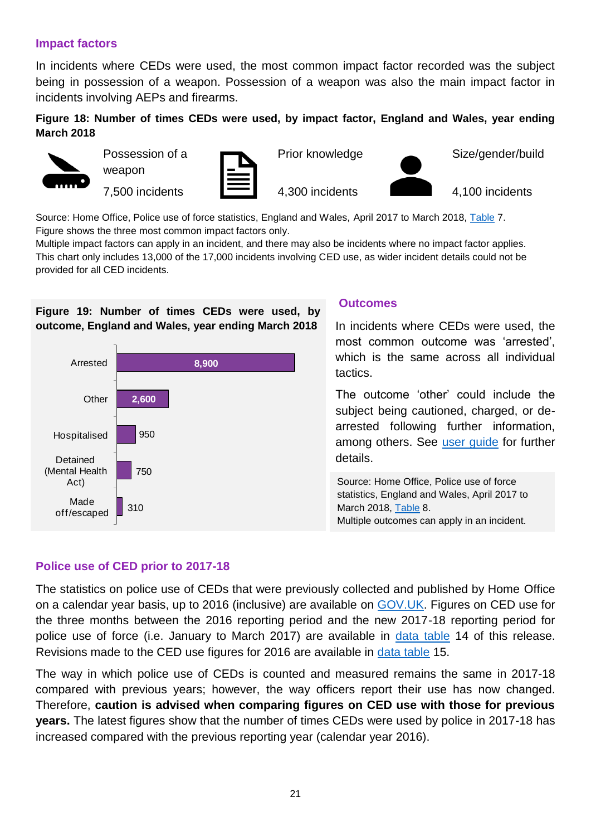# **Impact factors**

In incidents where CEDs were used, the most common impact factor recorded was the subject being in possession of a weapon. Possession of a weapon was also the main impact factor in incidents involving AEPs and firearms.

### **Figure 18: Number of times CEDs were used, by impact factor, England and Wales, year ending March 2018**



Possession of a weapon

7,500 incidents



Prior knowledge

4,300 incidents

Size/gender/build

4,100 incidents

Source: Home Office, Police use of force statistics, England and Wales, April 2017 to March 2018, [Table](https://www.gov.uk/government/statistics/police-use-of-force-statistics-england-and-wales-april-2017-to-march-2018) 7. Figure shows the three most common impact factors only.

Multiple impact factors can apply in an incident, and there may also be incidents where no impact factor applies. This chart only includes 13,000 of the 17,000 incidents involving CED use, as wider incident details could not be provided for all CED incidents.

# **Figure 19: Number of times CEDs were used, by outcome, England and Wales, year ending March 2018**



#### **Outcomes**

In incidents where CEDs were used, the most common outcome was 'arrested', which is the same across all individual tactics.

The outcome 'other' could include the subject being cautioned, charged, or dearrested following further information, among others. See [user guide](https://www.gov.uk/government/statistics/police-use-of-force-statistics-england-and-wales-april-2017-to-march-2018) for further details.

Source: Home Office, Police use of force statistics, England and Wales, April 2017 to March 2018, [Table](https://www.gov.uk/government/statistics/police-use-of-force-statistics-england-and-wales-april-2017-to-march-2018) 8. Multiple outcomes can apply in an incident.

### **Police use of CED prior to 2017-18**

The statistics on police use of CEDs that were previously collected and published by Home Office on a calendar year basis, up to 2016 (inclusive) are available on [GOV.UK.](https://www.gov.uk/government/collections/use-of-taser-statistics) Figures on CED use for the three months between the 2016 reporting period and the new 2017-18 reporting period for police use of force (i.e. January to March 2017) are available in [data table](https://www.gov.uk/government/statistics/police-use-of-force-statistics-england-and-wales-april-2017-to-march-2018) 14 of this release. Revisions made to the CED use figures for 2016 are available in [data table](https://www.gov.uk/government/statistics/police-use-of-force-statistics-england-and-wales-april-2017-to-march-2018) 15.

The way in which police use of CEDs is counted and measured remains the same in 2017-18 compared with previous years; however, the way officers report their use has now changed. Therefore, **caution is advised when comparing figures on CED use with those for previous years.** The latest figures show that the number of times CEDs were used by police in 2017-18 has increased compared with the previous reporting year (calendar year 2016).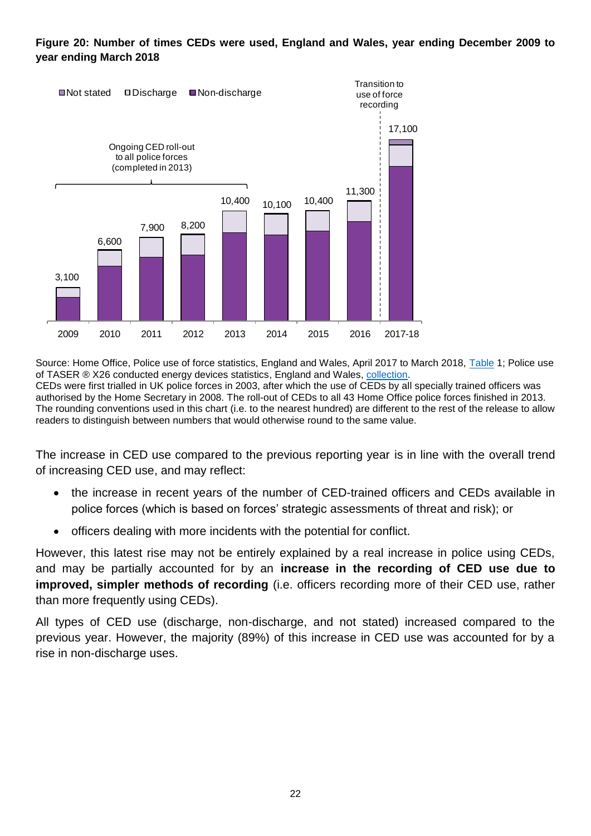#### **Figure 20: Number of times CEDs were used, England and Wales, year ending December 2009 to year ending March 2018**



Source: Home Office, Police use of force statistics, England and Wales, April 2017 to March 2018, [Table](https://www.gov.uk/government/statistics/police-use-of-force-statistics-england-and-wales-april-2017-to-march-2018) 1; Police use of TASER ® X26 conducted energy devices statistics, England and Wales, [collection.](https://www.gov.uk/government/collections/use-of-taser-statistics) CEDs were first trialled in UK police forces in 2003, after which the use of CEDs by all specially trained officers was authorised by the Home Secretary in 2008. The roll-out of CEDs to all 43 Home Office police forces finished in 2013. The rounding conventions used in this chart (i.e. to the nearest hundred) are different to the rest of the release to allow readers to distinguish between numbers that would otherwise round to the same value.

The increase in CED use compared to the previous reporting year is in line with the overall trend of increasing CED use, and may reflect:

- the increase in recent years of the number of CED-trained officers and CEDs available in police forces (which is based on forces' strategic assessments of threat and risk); or
- officers dealing with more incidents with the potential for conflict.

However, this latest rise may not be entirely explained by a real increase in police using CEDs, and may be partially accounted for by an **increase in the recording of CED use due to improved, simpler methods of recording** (i.e. officers recording more of their CED use, rather than more frequently using CEDs).

All types of CED use (discharge, non-discharge, and not stated) increased compared to the previous year. However, the majority (89%) of this increase in CED use was accounted for by a rise in non-discharge uses.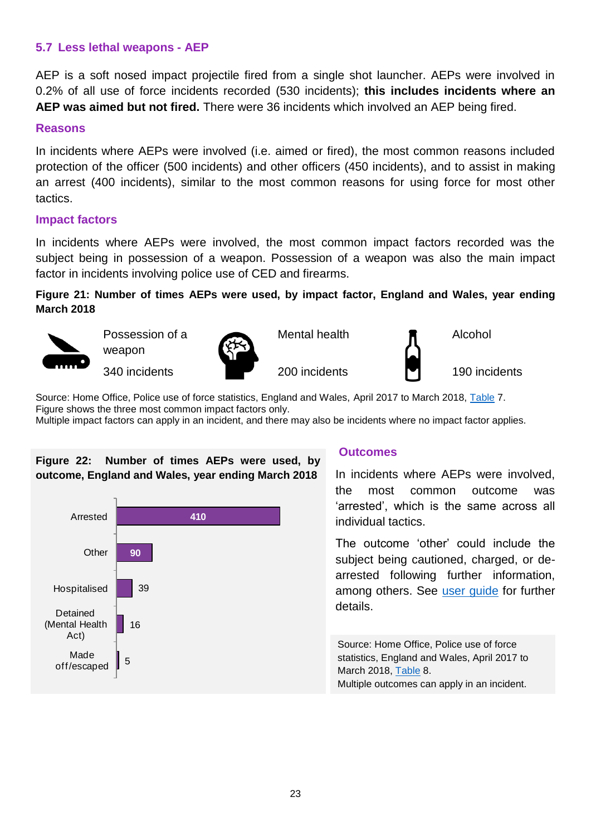# **5.7 Less lethal weapons - AEP**

AEP is a soft nosed impact projectile fired from a single shot launcher. AEPs were involved in 0.2% of all use of force incidents recorded (530 incidents); **this includes incidents where an AEP was aimed but not fired.** There were 36 incidents which involved an AEP being fired.

#### **Reasons**

In incidents where AEPs were involved (i.e. aimed or fired), the most common reasons included protection of the officer (500 incidents) and other officers (450 incidents), and to assist in making an arrest (400 incidents), similar to the most common reasons for using force for most other tactics.

#### **Impact factors**

In incidents where AEPs were involved, the most common impact factors recorded was the subject being in possession of a weapon. Possession of a weapon was also the main impact factor in incidents involving police use of CED and firearms.

**Figure 21: Number of times AEPs were used, by impact factor, England and Wales, year ending March 2018**



Possession of a weapon

340 incidents



Mental health

200 incidents



Alcohol

190 incidents

Source: Home Office, Police use of force statistics, England and Wales, April 2017 to March 2018, [Table](https://www.gov.uk/government/statistics/police-use-of-force-statistics-england-and-wales-april-2017-to-march-2018) 7. Figure shows the three most common impact factors only.

Multiple impact factors can apply in an incident, and there may also be incidents where no impact factor applies.

# **Figure 22: Number of times AEPs were used, by outcome, England and Wales, year ending March 2018**



# **Outcomes**

In incidents where AEPs were involved, the most common outcome was 'arrested', which is the same across all individual tactics.

The outcome 'other' could include the subject being cautioned, charged, or dearrested following further information, among others. See [user guide](https://www.gov.uk/government/statistics/police-use-of-force-statistics-england-and-wales-april-2017-to-march-2018) for further details.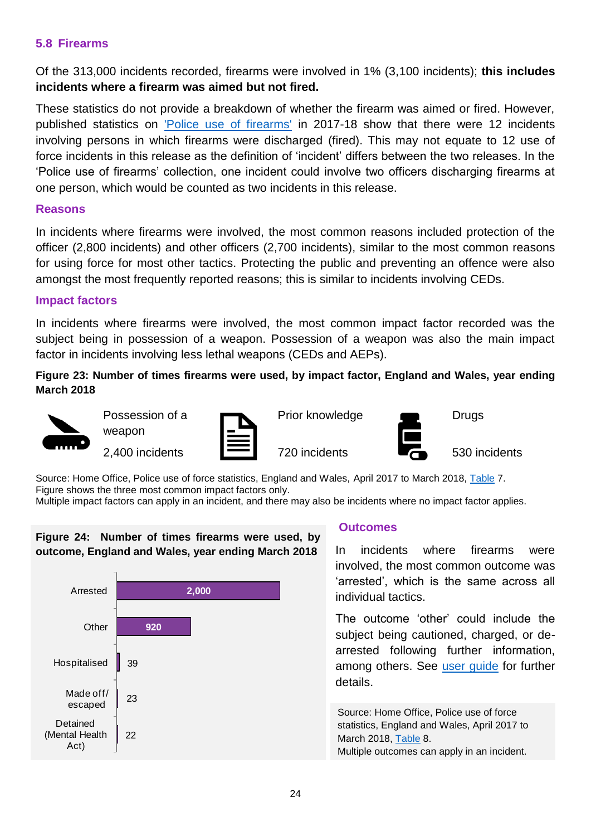# **5.8 Firearms**

Of the 313,000 incidents recorded, firearms were involved in 1% (3,100 incidents); **this includes incidents where a firearm was aimed but not fired.** 

These statistics do not provide a breakdown of whether the firearm was aimed or fired. However, published statistics on ['Police use of firearms'](https://www.gov.uk/government/statistics/police-use-of-firearms-statistics-england-and-wales-april-2017-to-march-2018) in 2017-18 show that there were 12 incidents involving persons in which firearms were discharged (fired). This may not equate to 12 use of force incidents in this release as the definition of 'incident' differs between the two releases. In the 'Police use of firearms' collection, one incident could involve two officers discharging firearms at one person, which would be counted as two incidents in this release.

#### **Reasons**

In incidents where firearms were involved, the most common reasons included protection of the officer (2,800 incidents) and other officers (2,700 incidents), similar to the most common reasons for using force for most other tactics. Protecting the public and preventing an offence were also amongst the most frequently reported reasons; this is similar to incidents involving CEDs.

### **Impact factors**

In incidents where firearms were involved, the most common impact factor recorded was the subject being in possession of a weapon. Possession of a weapon was also the main impact factor in incidents involving less lethal weapons (CEDs and AEPs).

#### **Figure 23: Number of times firearms were used, by impact factor, England and Wales, year ending March 2018**



Possession of a weapon

2,400 incidents



Prior knowledge



**Drugs** 

720 incidents

530 incidents

Source: Home Office, Police use of force statistics, England and Wales, April 2017 to March 2018, [Table](https://www.gov.uk/government/statistics/police-use-of-force-statistics-england-and-wales-april-2017-to-march-2018) 7. Figure shows the three most common impact factors only.

Multiple impact factors can apply in an incident, and there may also be incidents where no impact factor applies.

### **Figure 24: Number of times firearms were used, by outcome, England and Wales, year ending March 2018**



### **Outcomes**

In incidents where firearms were involved, the most common outcome was 'arrested', which is the same across all individual tactics.

The outcome 'other' could include the subject being cautioned, charged, or dearrested following further information, among others. See [user guide](https://www.gov.uk/government/statistics/police-use-of-force-statistics-england-and-wales-april-2017-to-march-2018) for further details.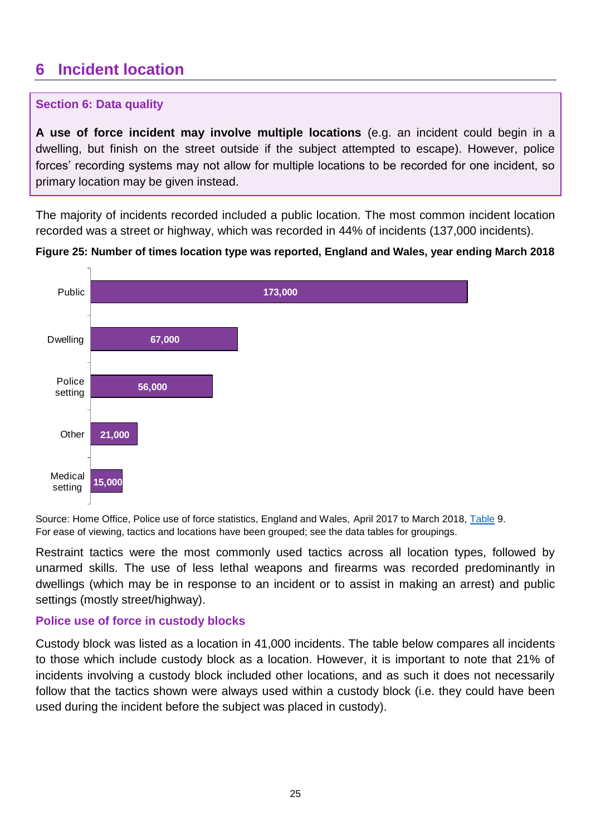# <span id="page-24-0"></span>**6 Incident location**

# **Section 6: Data quality**

**A use of force incident may involve multiple locations** (e.g. an incident could begin in a dwelling, but finish on the street outside if the subject attempted to escape). However, police forces' recording systems may not allow for multiple locations to be recorded for one incident, so primary location may be given instead.

The majority of incidents recorded included a public location. The most common incident location recorded was a street or highway, which was recorded in 44% of incidents (137,000 incidents).



**Figure 25: Number of times location type was reported, England and Wales, year ending March 2018**

Source: Home Office, Police use of force statistics, England and Wales, April 2017 to March 2018, [Table](https://www.gov.uk/government/statistics/police-use-of-force-statistics-england-and-wales-april-2017-to-march-2018) 9. For ease of viewing, tactics and locations have been grouped; see the data tables for groupings.

Restraint tactics were the most commonly used tactics across all location types, followed by unarmed skills. The use of less lethal weapons and firearms was recorded predominantly in dwellings (which may be in response to an incident or to assist in making an arrest) and public settings (mostly street/highway).

# **Police use of force in custody blocks**

Custody block was listed as a location in 41,000 incidents. The table below compares all incidents to those which include custody block as a location. However, it is important to note that 21% of incidents involving a custody block included other locations, and as such it does not necessarily follow that the tactics shown were always used within a custody block (i.e. they could have been used during the incident before the subject was placed in custody).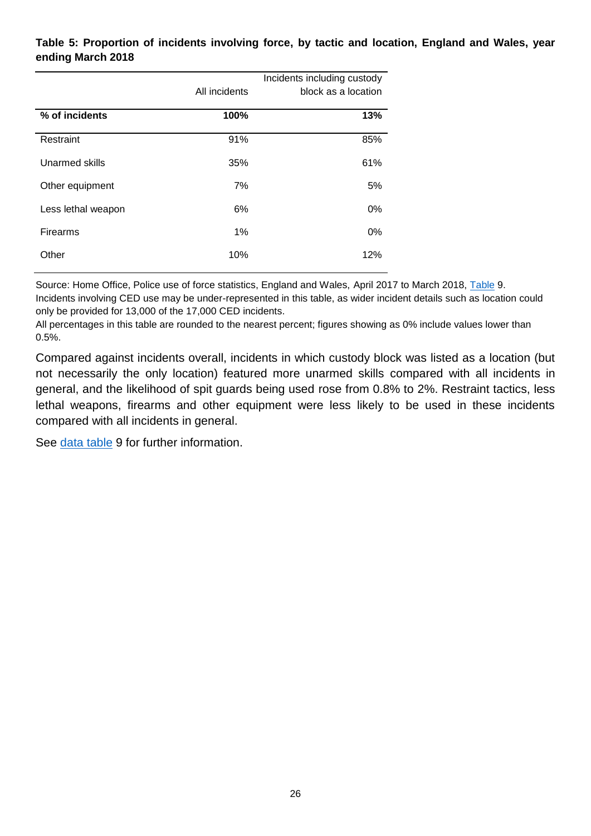### **Table 5: Proportion of incidents involving force, by tactic and location, England and Wales, year ending March 2018**

|                    | All incidents | Incidents including custody<br>block as a location |
|--------------------|---------------|----------------------------------------------------|
| % of incidents     | 100%          | 13%                                                |
| Restraint          | 91%           | 85%                                                |
| Unarmed skills     | 35%           | 61%                                                |
| Other equipment    | 7%            | 5%                                                 |
| Less lethal weapon | 6%            | $0\%$                                              |
| Firearms           | 1%            | $0\%$                                              |
| Other              | 10%           | 12%                                                |

Source: Home Office, Police use of force statistics, England and Wales, April 2017 to March 2018, [Table](https://www.gov.uk/government/statistics/police-use-of-force-statistics-england-and-wales-april-2017-to-march-2018) 9. Incidents involving CED use may be under-represented in this table, as wider incident details such as location could only be provided for 13,000 of the 17,000 CED incidents.

All percentages in this table are rounded to the nearest percent; figures showing as 0% include values lower than 0.5%.

Compared against incidents overall, incidents in which custody block was listed as a location (but not necessarily the only location) featured more unarmed skills compared with all incidents in general, and the likelihood of spit guards being used rose from 0.8% to 2%. Restraint tactics, less lethal weapons, firearms and other equipment were less likely to be used in these incidents compared with all incidents in general.

See [data table](https://www.gov.uk/government/statistics/police-use-of-force-statistics-england-and-wales-april-2017-to-march-2018) 9 for further information.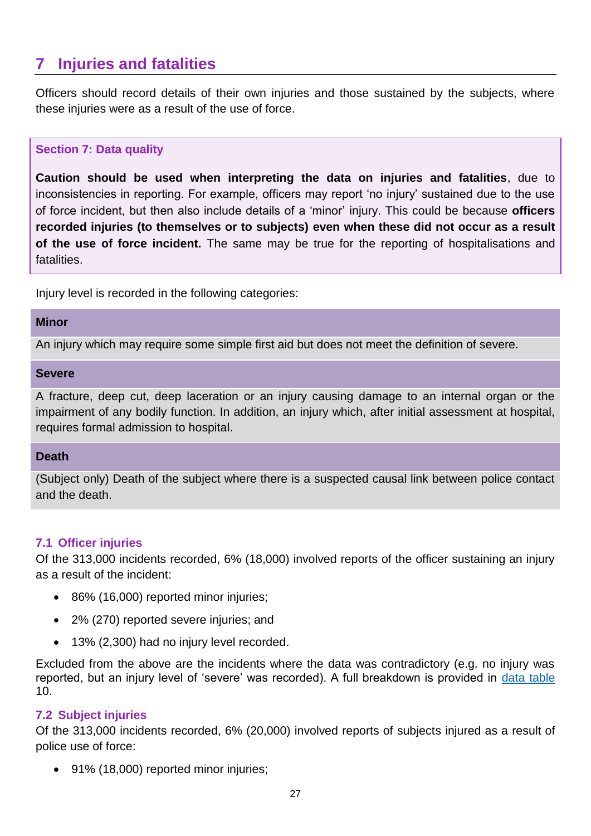# <span id="page-26-0"></span>**7 Injuries and fatalities**

Officers should record details of their own injuries and those sustained by the subjects, where these injuries were as a result of the use of force.

# **Section 7: Data quality**

**Caution should be used when interpreting the data on injuries and fatalities**, due to inconsistencies in reporting. For example, officers may report 'no injury' sustained due to the use of force incident, but then also include details of a 'minor' injury. This could be because **officers recorded injuries (to themselves or to subjects) even when these did not occur as a result of the use of force incident.** The same may be true for the reporting of hospitalisations and fatalities.

Injury level is recorded in the following categories:

#### **Minor**

An injury which may require some simple first aid but does not meet the definition of severe.

#### **Severe**

A fracture, deep cut, deep laceration or an injury causing damage to an internal organ or the impairment of any bodily function. In addition, an injury which, after initial assessment at hospital, requires formal admission to hospital.

### **Death**

(Subject only) Death of the subject where there is a suspected causal link between police contact and the death.

### **7.1 Officer injuries**

Of the 313,000 incidents recorded, 6% (18,000) involved reports of the officer sustaining an injury as a result of the incident:

- 86% (16,000) reported minor injuries;
- 2% (270) reported severe injuries; and
- 13% (2,300) had no injury level recorded.

Excluded from the above are the incidents where the data was contradictory (e.g. no injury was reported, but an injury level of 'severe' was recorded). A full breakdown is provided in [data table](https://www.gov.uk/government/statistics/police-use-of-force-statistics-england-and-wales-april-2017-to-march-2018) 10.

### **7.2 Subject injuries**

Of the 313,000 incidents recorded, 6% (20,000) involved reports of subjects injured as a result of police use of force:

• 91% (18,000) reported minor injuries;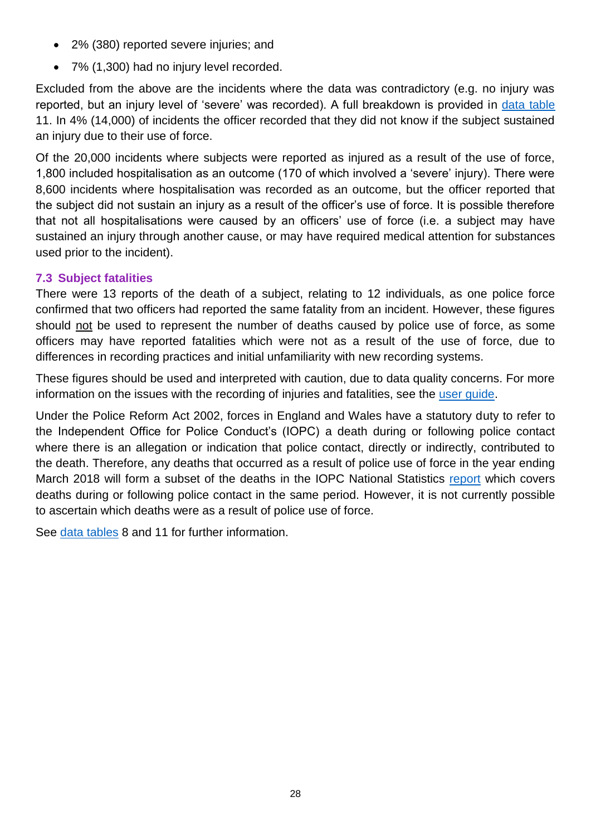- 2% (380) reported severe injuries; and
- 7% (1,300) had no injury level recorded.

Excluded from the above are the incidents where the data was contradictory (e.g. no injury was reported, but an injury level of 'severe' was recorded). A full breakdown is provided in [data table](https://www.gov.uk/government/statistics/police-use-of-force-statistics-england-and-wales-april-2017-to-march-2018) 11. In 4% (14,000) of incidents the officer recorded that they did not know if the subject sustained an injury due to their use of force.

Of the 20,000 incidents where subjects were reported as injured as a result of the use of force, 1,800 included hospitalisation as an outcome (170 of which involved a 'severe' injury). There were 8,600 incidents where hospitalisation was recorded as an outcome, but the officer reported that the subject did not sustain an injury as a result of the officer's use of force. It is possible therefore that not all hospitalisations were caused by an officers' use of force (i.e. a subject may have sustained an injury through another cause, or may have required medical attention for substances used prior to the incident).

# <span id="page-27-0"></span>**7.3 Subject fatalities**

There were 13 reports of the death of a subject, relating to 12 individuals, as one police force confirmed that two officers had reported the same fatality from an incident. However, these figures should not be used to represent the number of deaths caused by police use of force, as some officers may have reported fatalities which were not as a result of the use of force, due to differences in recording practices and initial unfamiliarity with new recording systems.

These figures should be used and interpreted with caution, due to data quality concerns. For more information on the issues with the recording of injuries and fatalities, see the [user guide.](https://www.gov.uk/government/statistics/police-use-of-force-statistics-england-and-wales-april-2017-to-march-2018)

Under the Police Reform Act 2002, forces in England and Wales have a statutory duty to refer to the Independent Office for Police Conduct's (IOPC) a death during or following police contact where there is an allegation or indication that police contact, directly or indirectly, contributed to the death. Therefore, any deaths that occurred as a result of police use of force in the year ending March 2018 will form a subset of the deaths in the IOPC National Statistics [report](https://www.policeconduct.gov.uk/sites/default/files/Documents/statistics/deaths_during_following_police_contact_201718.pdf) which covers deaths during or following police contact in the same period. However, it is not currently possible to ascertain which deaths were as a result of police use of force.

See [data tables](https://www.gov.uk/government/statistics/police-use-of-force-statistics-england-and-wales-april-2017-to-march-2018) 8 and 11 for further information.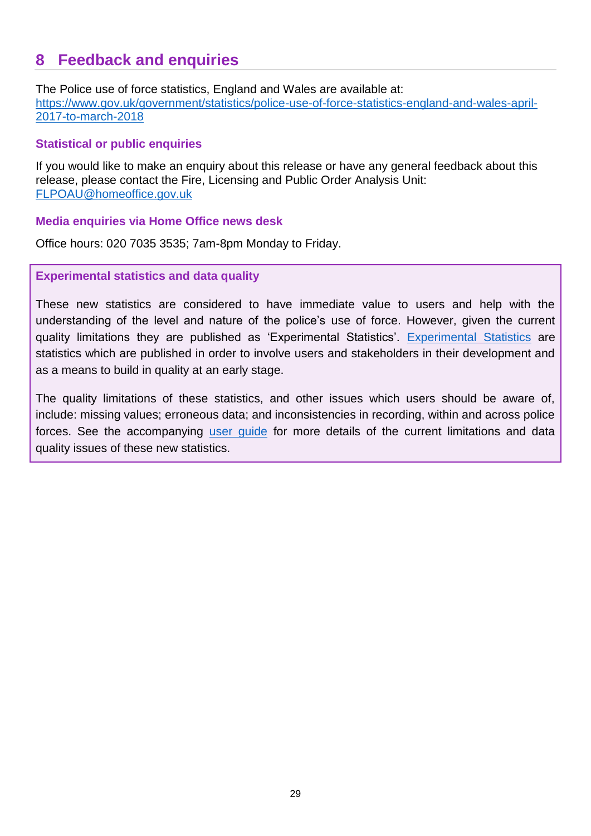# <span id="page-28-0"></span>**8 Feedback and enquiries**

The Police use of force statistics, England and Wales are available at: [https://www.gov.uk/government/statistics/police-use-of-force-statistics-england-and-wales-april-](https://www.gov.uk/government/statistics/police-use-of-force-statistics-england-and-wales-april-2017-to-march-2018)[2017-to-march-2018](https://www.gov.uk/government/statistics/police-use-of-force-statistics-england-and-wales-april-2017-to-march-2018)

# **Statistical or public enquiries**

If you would like to make an enquiry about this release or have any general feedback about this release, please contact the Fire, Licensing and Public Order Analysis Unit: [FLPOAU@homeoffice.gov.uk](mailto:FLPOAU@homeoffice.gov.uk)

### **Media enquiries via Home Office news desk**

Office hours: 020 7035 3535; 7am-8pm Monday to Friday.

# **Experimental statistics and data quality**

These new statistics are considered to have immediate value to users and help with the understanding of the level and nature of the police's use of force. However, given the current quality limitations they are published as 'Experimental Statistics'. [Experimental](https://www.statisticsauthority.gov.uk/about-the-authority/uk-statistical-system/types-of-official-statistics/) Statistics are statistics which are published in order to involve users and stakeholders in their development and as a means to build in quality at an early stage.

The quality limitations of these statistics, and other issues which users should be aware of, include: missing values; erroneous data; and inconsistencies in recording, within and across police forces. See the accompanying user [guide](https://www.gov.uk/government/statistics/police-use-of-force-statistics-england-and-wales-april-2017-to-march-2018) for more details of the current limitations and data quality issues of these new statistics.